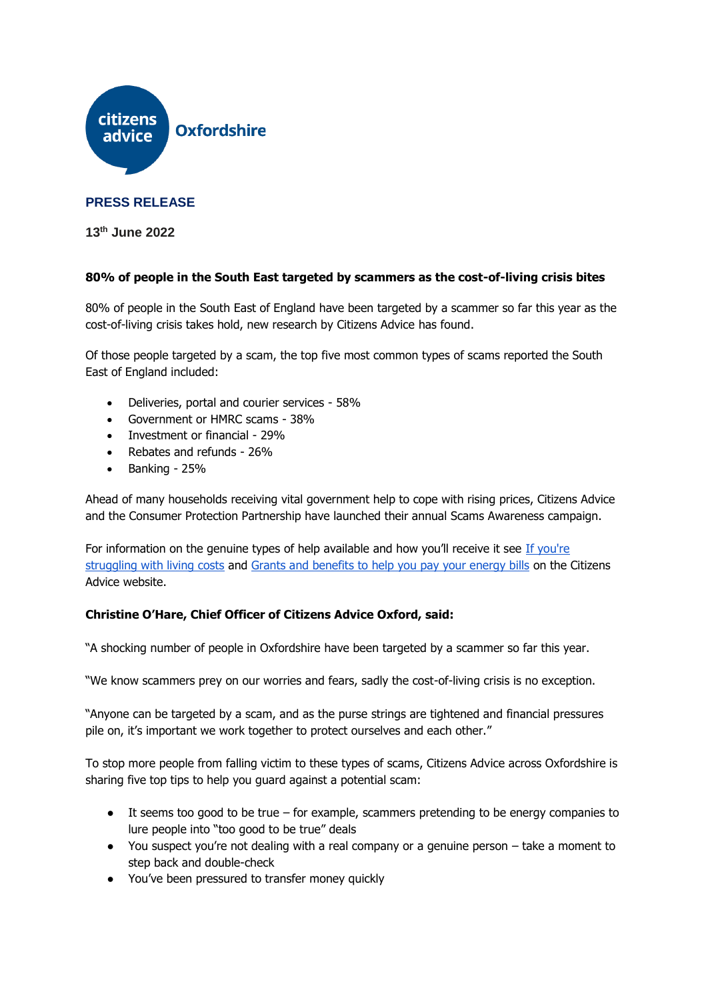

## **PRESS RELEASE**

**13th June 2022**

## **80% of people in the South East targeted by scammers as the cost-of-living crisis bites**

80% of people in the South East of England have been targeted by a scammer so far this year as the cost-of-living crisis takes hold, new research by Citizens Advice has found.

Of those people targeted by a scam, the top five most common types of scams reported the South East of England included:

- Deliveries, portal and courier services 58%
- Government or HMRC scams 38%
- Investment or financial 29%
- Rebates and refunds 26%
- $\bullet$  Banking 25%

Ahead of many households receiving vital government help to cope with rising prices, Citizens Advice and the Consumer Protection Partnership have launched their annual Scams Awareness campaign.

For information on the genuine types of help available and how you'll receive it see If you're [struggling with living costs](https://www.citizensadvice.org.uk/benefits/help-if-on-a-low-income/if-youre-struggling-with-living-costs/) and [Grants and benefits to help you pay your energy bills](https://www.citizensadvice.org.uk/consumer/energy/energy-supply/get-help-paying-your-bills/grants-and-benefits-to-help-you-pay-your-energy-bills/) on the Citizens Advice website.

## **Christine O'Hare, Chief Officer of Citizens Advice Oxford, said:**

"A shocking number of people in Oxfordshire have been targeted by a scammer so far this year.

"We know scammers prey on our worries and fears, sadly the cost-of-living crisis is no exception.

"Anyone can be targeted by a scam, and as the purse strings are tightened and financial pressures pile on, it's important we work together to protect ourselves and each other."

To stop more people from falling victim to these types of scams, Citizens Advice across Oxfordshire is sharing five top tips to help you guard against a potential scam:

- $\bullet$  It seems too good to be true for example, scammers pretending to be energy companies to lure people into "too good to be true" deals
- You suspect you're not dealing with a real company or a genuine person take a moment to step back and double-check
- You've been pressured to transfer money quickly